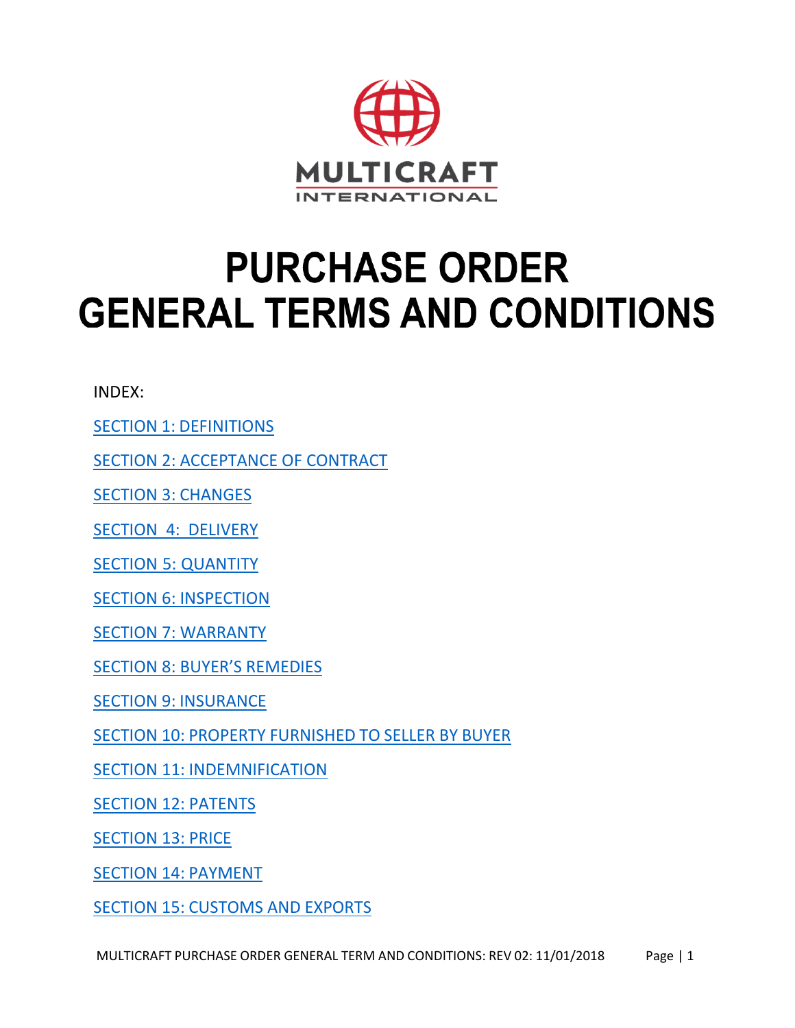

# **PURCHASE ORDER GENERAL TERMS AND CONDITIONS**

INDEX:

SECTION 1: [DEFINITIONS](#page-2-0)

[SECTION 2: ACCEPTANCE OF CONTRACT](#page-2-1)

SECTION 3: [CHANGES](#page-2-2)

SECTION 4: [DELIVERY](#page-2-3)

SECTION 5: [QUANTITY](#page-3-0)

[SECTION 6: INSPECTION](#page-3-1)

[SECTION 7: WARRANTY](#page-3-2)

[SECTION 8: BUYER'S REMEDIES](#page-4-0)

SECTION 9: [INSURANCE](#page-4-1)

SECTION 10: PROPERTY [FURNISHED](#page-4-2) TO SELLER BY BUYER

SECTION 11: [INDEMNIFICATION](#page-5-0)

[SECTION 12: PATENTS](#page-5-1)

[SECTION 13: PRICE](#page-5-2)

SECTION 14: [PAYMENT](#page-5-3)

SECTION 15: [CUSTOMS](#page-6-0) AND EXPORTS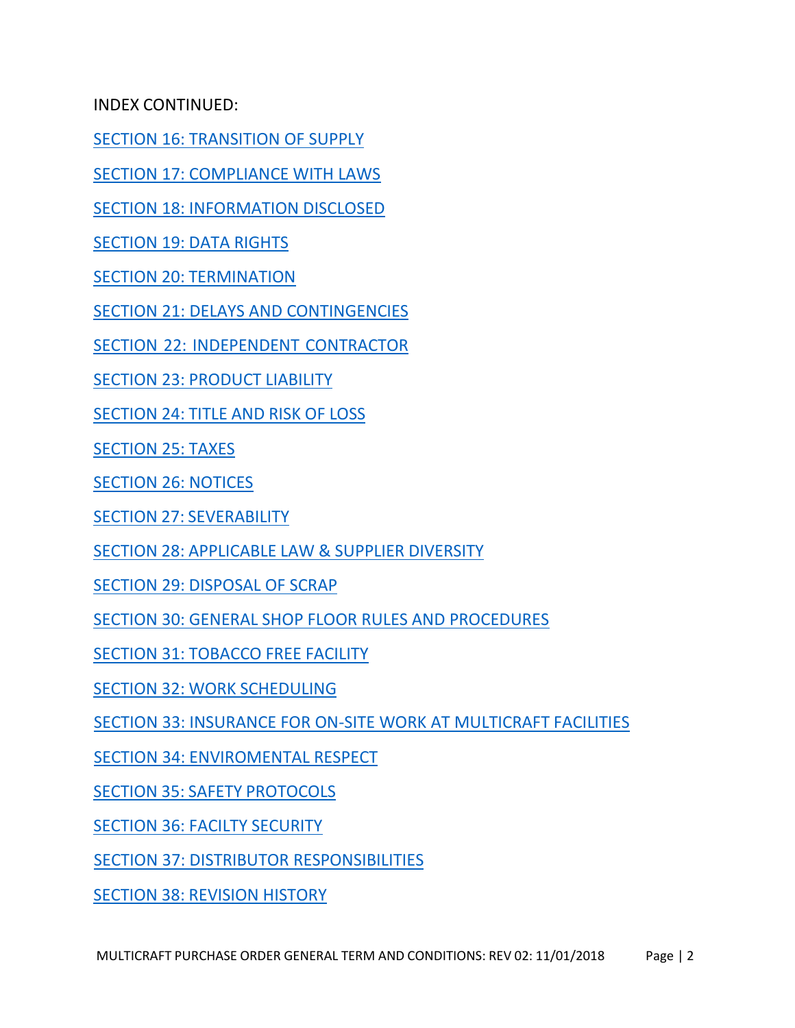INDEX CONTINUED:

[SECTION 16: TRANSITION OF SUPPLY](#page-6-1)

[SECTION 17: COMPLIANCE WITH LAWS](#page-7-0)

[SECTION 18: INFORMATION DISCLOSED](#page-7-1)

SECTION 19: [DATA RIGHTS](#page-7-2)

SECTION 20: [TERMINATION](#page-8-0)

[SECTION 21: DELAYS AND CONTINGENCIES](#page-8-1)

[SECTION 22: INDEPENDENT CONTRACTOR](#page-8-2)

SECTION 23: [PRODUCT](#page-8-3) LIABILITY

[SECTION](#page-8-4) 24: TITLE AND RISK OF LOSS

[SECTION](#page-8-5) 25: TAXES

[SECTION 26: NOTICES](#page-8-6)

SECTION 27: [SEVERABILITY](#page-9-0)

SECTION 28: [APPLICABLE](#page-9-1) LAW & SUPPLIER DIVERSITY

SECTION 29: [DISPOSAL OF](#page-9-2) SCRAP

[SECTION 30: GENERAL SHOP FLOOR RULES AND PROCEDURES](#page-9-3)

SECTION 31: [TOBACCO](#page-9-4) FREE FACILITY

SECTION 32: WORK [SCHEDULING](#page-9-5)

[SECTION 33: INSURANCE FOR ON-SITE WORK AT MULTICRAFT FACILITIES](#page-9-6)

SECTION 34: [ENVIROMENTAL RESPECT](#page-10-0)

SECTION 35: SAFETY [PROTOCOLS](#page-10-1)

[SECTION 36: FACILTY SECURITY](#page-10-2)

[SECTION 37: DISTRIBUTOR](#page-9-3) RESPONSIBILITIES

SECTION 38: [REVISION](#page-10-3) HISTORY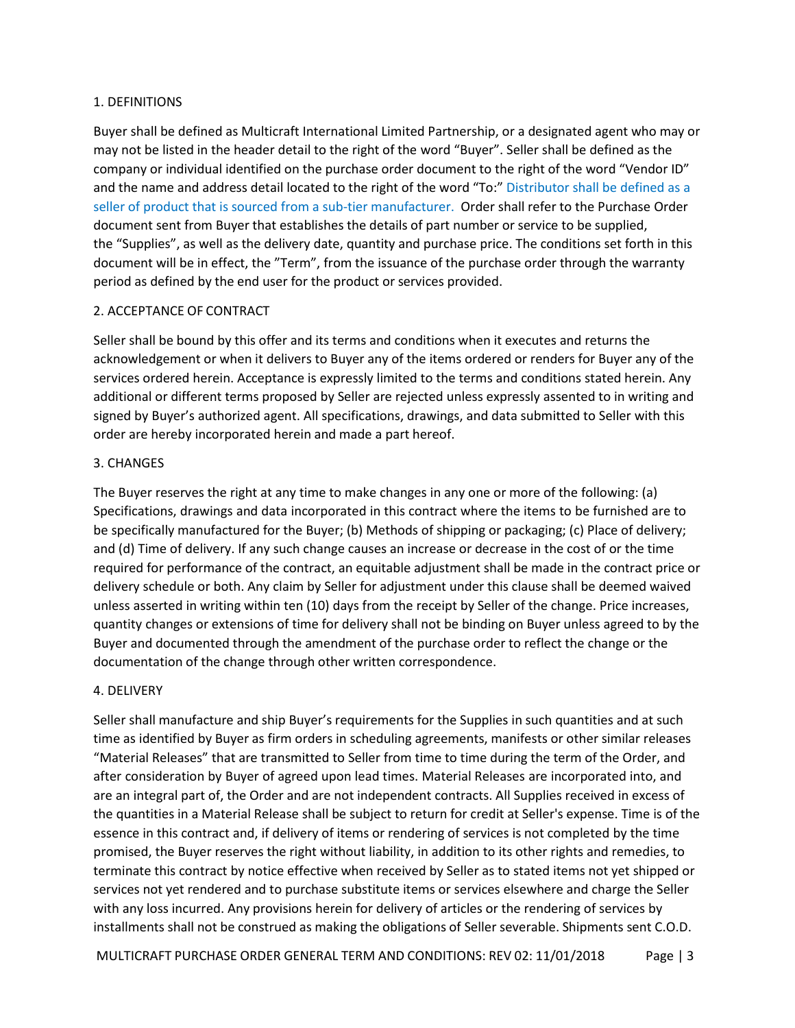#### <span id="page-2-0"></span>1. DEFINITIONS

Buyer shall be defined as Multicraft International Limited Partnership, or a designated agent who may or may not be listed in the header detail to the right of the word "Buyer". Seller shall be defined as the company or individual identified on the purchase order document to the right of the word "Vendor ID" and the name and address detail located to the right of the word "To:" Distributor shall be defined as a seller of product that is sourced from a sub-tier manufacturer. Order shall refer to the Purchase Order document sent from Buyer that establishes the details of part number or service to be supplied, the "Supplies", as well as the delivery date, quantity and purchase price. The conditions set forth in this document will be in effect, the "Term", from the issuance of the purchase order through the warranty period as defined by the end user for the product or services provided.

# <span id="page-2-1"></span>2. ACCEPTANCE OF CONTRACT

Seller shall be bound by this offer and its terms and conditions when it executes and returns the acknowledgement or when it delivers to Buyer any of the items ordered or renders for Buyer any of the services ordered herein. Acceptance is expressly limited to the terms and conditions stated herein. Any additional or different terms proposed by Seller are rejected unless expressly assented to in writing and signed by Buyer's authorized agent. All specifications, drawings, and data submitted to Seller with this order are hereby incorporated herein and made a part hereof.

# <span id="page-2-2"></span>3. CHANGES

The Buyer reserves the right at any time to make changes in any one or more of the following: (a) Specifications, drawings and data incorporated in this contract where the items to be furnished are to be specifically manufactured for the Buyer; (b) Methods of shipping or packaging; (c) Place of delivery; and (d) Time of delivery. If any such change causes an increase or decrease in the cost of or the time required for performance of the contract, an equitable adjustment shall be made in the contract price or delivery schedule or both. Any claim by Seller for adjustment under this clause shall be deemed waived unless asserted in writing within ten (10) days from the receipt by Seller of the change. Price increases, quantity changes or extensions of time for delivery shall not be binding on Buyer unless agreed to by the Buyer and documented through the amendment of the purchase order to reflect the change or the documentation of the change through other written correspondence.

# <span id="page-2-3"></span>4. DELIVERY

Seller shall manufacture and ship Buyer's requirements for the Supplies in such quantities and at such time as identified by Buyer as firm orders in scheduling agreements, manifests or other similar releases "Material Releases" that are transmitted to Seller from time to time during the term of the Order, and after consideration by Buyer of agreed upon lead times. Material Releases are incorporated into, and are an integral part of, the Order and are not independent contracts. All Supplies received in excess of the quantities in a Material Release shall be subject to return for credit at Seller's expense. Time is of the essence in this contract and, if delivery of items or rendering of services is not completed by the time promised, the Buyer reserves the right without liability, in addition to its other rights and remedies, to terminate this contract by notice effective when received by Seller as to stated items not yet shipped or services not yet rendered and to purchase substitute items or services elsewhere and charge the Seller with any loss incurred. Any provisions herein for delivery of articles or the rendering of services by installments shall not be construed as making the obligations of Seller severable. Shipments sent C.O.D.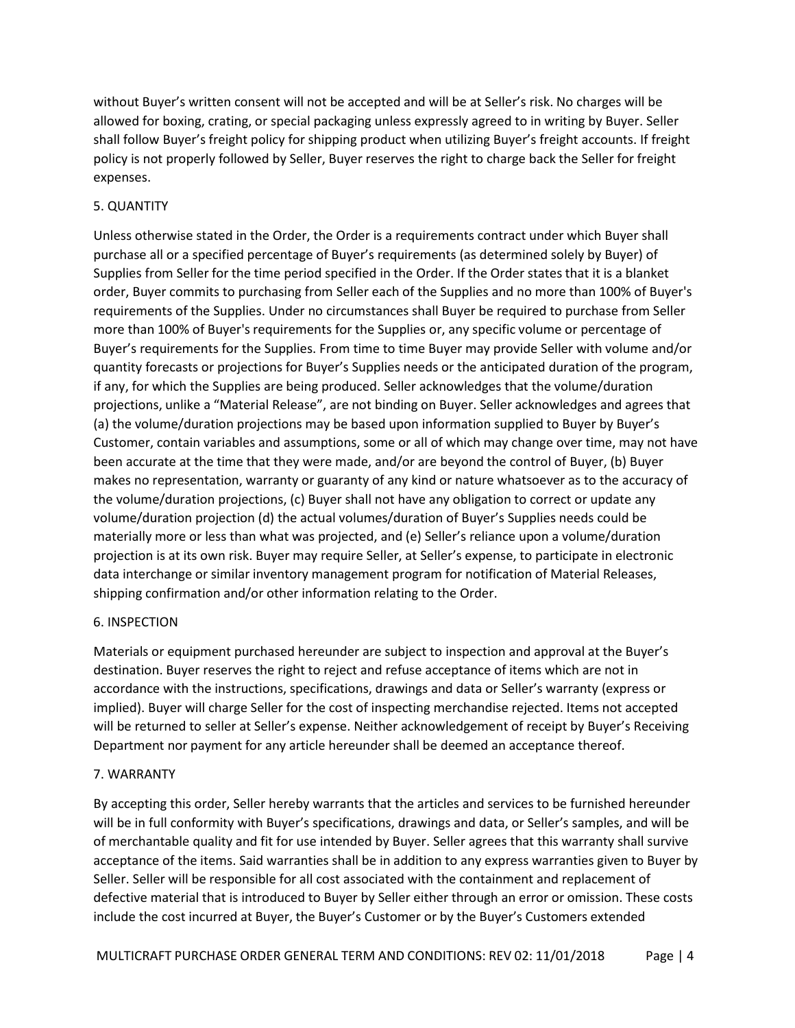without Buyer's written consent will not be accepted and will be at Seller's risk. No charges will be allowed for boxing, crating, or special packaging unless expressly agreed to in writing by Buyer. Seller shall follow Buyer's freight policy for shipping product when utilizing Buyer's freight accounts. If freight policy is not properly followed by Seller, Buyer reserves the right to charge back the Seller for freight expenses.

# <span id="page-3-0"></span>5. QUANTITY

Unless otherwise stated in the Order, the Order is a requirements contract under which Buyer shall purchase all or a specified percentage of Buyer's requirements (as determined solely by Buyer) of Supplies from Seller for the time period specified in the Order. If the Order states that it is a blanket order, Buyer commits to purchasing from Seller each of the Supplies and no more than 100% of Buyer's requirements of the Supplies. Under no circumstances shall Buyer be required to purchase from Seller more than 100% of Buyer's requirements for the Supplies or, any specific volume or percentage of Buyer's requirements for the Supplies. From time to time Buyer may provide Seller with volume and/or quantity forecasts or projections for Buyer's Supplies needs or the anticipated duration of the program, if any, for which the Supplies are being produced. Seller acknowledges that the volume/duration projections, unlike a "Material Release", are not binding on Buyer. Seller acknowledges and agrees that (a) the volume/duration projections may be based upon information supplied to Buyer by Buyer's Customer, contain variables and assumptions, some or all of which may change over time, may not have been accurate at the time that they were made, and/or are beyond the control of Buyer, (b) Buyer makes no representation, warranty or guaranty of any kind or nature whatsoever as to the accuracy of the volume/duration projections, (c) Buyer shall not have any obligation to correct or update any volume/duration projection (d) the actual volumes/duration of Buyer's Supplies needs could be materially more or less than what was projected, and (e) Seller's reliance upon a volume/duration projection is at its own risk. Buyer may require Seller, at Seller's expense, to participate in electronic data interchange or similar inventory management program for notification of Material Releases, shipping confirmation and/or other information relating to the Order.

# <span id="page-3-1"></span>6. INSPECTION

Materials or equipment purchased hereunder are subject to inspection and approval at the Buyer's destination. Buyer reserves the right to reject and refuse acceptance of items which are not in accordance with the instructions, specifications, drawings and data or Seller's warranty (express or implied). Buyer will charge Seller for the cost of inspecting merchandise rejected. Items not accepted will be returned to seller at Seller's expense. Neither acknowledgement of receipt by Buyer's Receiving Department nor payment for any article hereunder shall be deemed an acceptance thereof.

# <span id="page-3-2"></span>7. WARRANTY

By accepting this order, Seller hereby warrants that the articles and services to be furnished hereunder will be in full conformity with Buyer's specifications, drawings and data, or Seller's samples, and will be of merchantable quality and fit for use intended by Buyer. Seller agrees that this warranty shall survive acceptance of the items. Said warranties shall be in addition to any express warranties given to Buyer by Seller. Seller will be responsible for all cost associated with the containment and replacement of defective material that is introduced to Buyer by Seller either through an error or omission. These costs include the cost incurred at Buyer, the Buyer's Customer or by the Buyer's Customers extended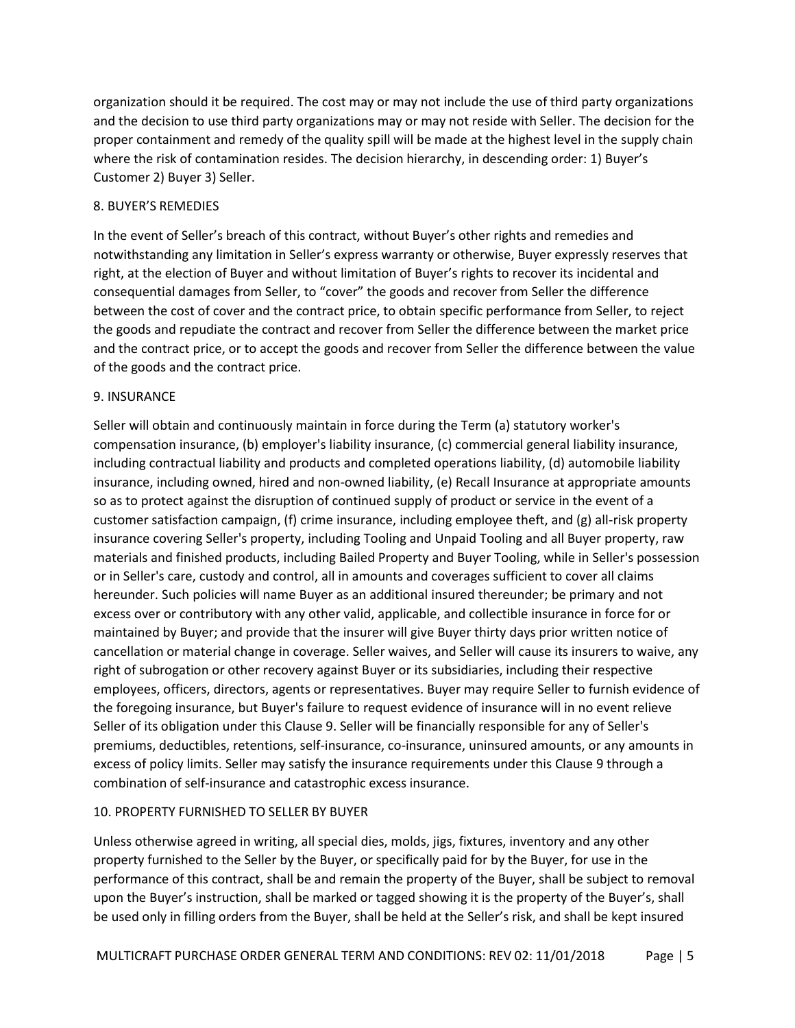organization should it be required. The cost may or may not include the use of third party organizations and the decision to use third party organizations may or may not reside with Seller. The decision for the proper containment and remedy of the quality spill will be made at the highest level in the supply chain where the risk of contamination resides. The decision hierarchy, in descending order: 1) Buyer's Customer 2) Buyer 3) Seller.

# <span id="page-4-0"></span>8. BUYER'S REMEDIES

In the event of Seller's breach of this contract, without Buyer's other rights and remedies and notwithstanding any limitation in Seller's express warranty or otherwise, Buyer expressly reserves that right, at the election of Buyer and without limitation of Buyer's rights to recover its incidental and consequential damages from Seller, to "cover" the goods and recover from Seller the difference between the cost of cover and the contract price, to obtain specific performance from Seller, to reject the goods and repudiate the contract and recover from Seller the difference between the market price and the contract price, or to accept the goods and recover from Seller the difference between the value of the goods and the contract price.

#### <span id="page-4-1"></span>9. INSURANCE

Seller will obtain and continuously maintain in force during the Term (a) statutory worker's compensation insurance, (b) employer's liability insurance, (c) commercial general liability insurance, including contractual liability and products and completed operations liability, (d) automobile liability insurance, including owned, hired and non-owned liability, (e) Recall Insurance at appropriate amounts so as to protect against the disruption of continued supply of product or service in the event of a customer satisfaction campaign, (f) crime insurance, including employee theft, and (g) all-risk property insurance covering Seller's property, including Tooling and Unpaid Tooling and all Buyer property, raw materials and finished products, including Bailed Property and Buyer Tooling, while in Seller's possession or in Seller's care, custody and control, all in amounts and coverages sufficient to cover all claims hereunder. Such policies will name Buyer as an additional insured thereunder; be primary and not excess over or contributory with any other valid, applicable, and collectible insurance in force for or maintained by Buyer; and provide that the insurer will give Buyer thirty days prior written notice of cancellation or material change in coverage. Seller waives, and Seller will cause its insurers to waive, any right of subrogation or other recovery against Buyer or its subsidiaries, including their respective employees, officers, directors, agents or representatives. Buyer may require Seller to furnish evidence of the foregoing insurance, but Buyer's failure to request evidence of insurance will in no event relieve Seller of its obligation under this Clause 9. Seller will be financially responsible for any of Seller's premiums, deductibles, retentions, self-insurance, co-insurance, uninsured amounts, or any amounts in excess of policy limits. Seller may satisfy the insurance requirements under this Clause 9 through a combination of self-insurance and catastrophic excess insurance.

#### <span id="page-4-2"></span>10. PROPERTY FURNISHED TO SELLER BY BUYER

Unless otherwise agreed in writing, all special dies, molds, jigs, fixtures, inventory and any other property furnished to the Seller by the Buyer, or specifically paid for by the Buyer, for use in the performance of this contract, shall be and remain the property of the Buyer, shall be subject to removal upon the Buyer's instruction, shall be marked or tagged showing it is the property of the Buyer's, shall be used only in filling orders from the Buyer, shall be held at the Seller's risk, and shall be kept insured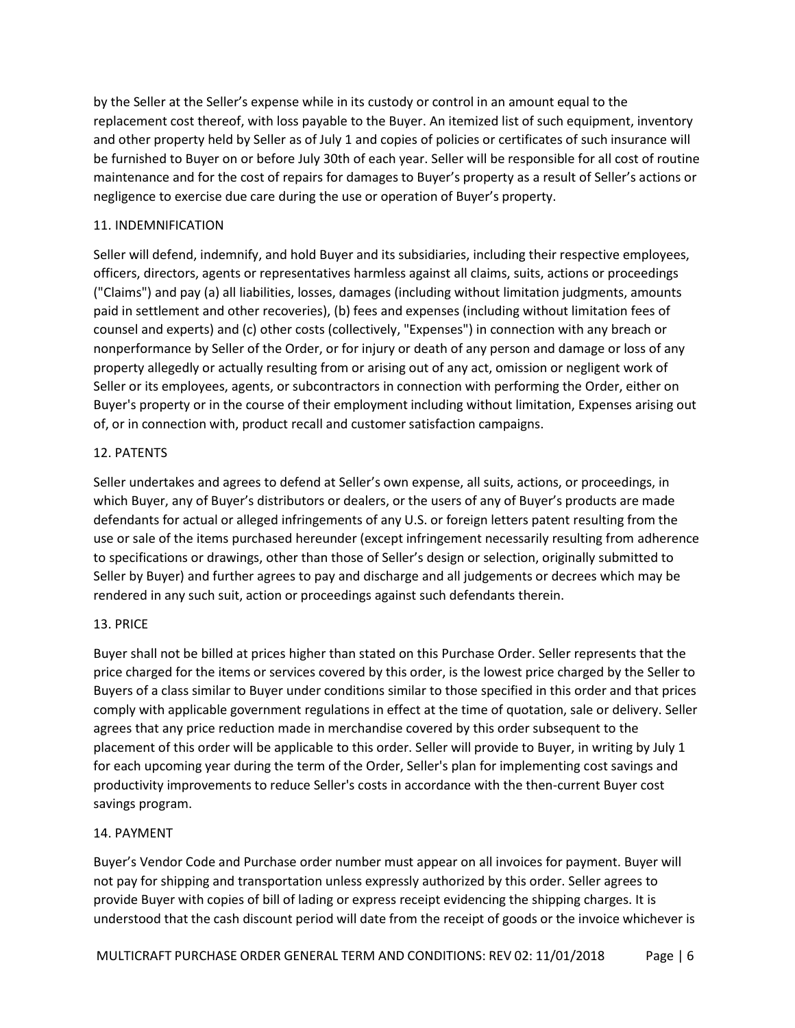by the Seller at the Seller's expense while in its custody or control in an amount equal to the replacement cost thereof, with loss payable to the Buyer. An itemized list of such equipment, inventory and other property held by Seller as of July 1 and copies of policies or certificates of such insurance will be furnished to Buyer on or before July 30th of each year. Seller will be responsible for all cost of routine maintenance and for the cost of repairs for damages to Buyer's property as a result of Seller's actions or negligence to exercise due care during the use or operation of Buyer's property.

# <span id="page-5-0"></span>11. INDEMNIFICATION

Seller will defend, indemnify, and hold Buyer and its subsidiaries, including their respective employees, officers, directors, agents or representatives harmless against all claims, suits, actions or proceedings ("Claims") and pay (a) all liabilities, losses, damages (including without limitation judgments, amounts paid in settlement and other recoveries), (b) fees and expenses (including without limitation fees of counsel and experts) and (c) other costs (collectively, "Expenses") in connection with any breach or nonperformance by Seller of the Order, or for injury or death of any person and damage or loss of any property allegedly or actually resulting from or arising out of any act, omission or negligent work of Seller or its employees, agents, or subcontractors in connection with performing the Order, either on Buyer's property or in the course of their employment including without limitation, Expenses arising out of, or in connection with, product recall and customer satisfaction campaigns.

# <span id="page-5-1"></span>12. PATENTS

Seller undertakes and agrees to defend at Seller's own expense, all suits, actions, or proceedings, in which Buyer, any of Buyer's distributors or dealers, or the users of any of Buyer's products are made defendants for actual or alleged infringements of any U.S. or foreign letters patent resulting from the use or sale of the items purchased hereunder (except infringement necessarily resulting from adherence to specifications or drawings, other than those of Seller's design or selection, originally submitted to Seller by Buyer) and further agrees to pay and discharge and all judgements or decrees which may be rendered in any such suit, action or proceedings against such defendants therein.

# <span id="page-5-2"></span>13. PRICE

Buyer shall not be billed at prices higher than stated on this Purchase Order. Seller represents that the price charged for the items or services covered by this order, is the lowest price charged by the Seller to Buyers of a class similar to Buyer under conditions similar to those specified in this order and that prices comply with applicable government regulations in effect at the time of quotation, sale or delivery. Seller agrees that any price reduction made in merchandise covered by this order subsequent to the placement of this order will be applicable to this order. Seller will provide to Buyer, in writing by July 1 for each upcoming year during the term of the Order, Seller's plan for implementing cost savings and productivity improvements to reduce Seller's costs in accordance with the then-current Buyer cost savings program.

# <span id="page-5-3"></span>14. PAYMENT

Buyer's Vendor Code and Purchase order number must appear on all invoices for payment. Buyer will not pay for shipping and transportation unless expressly authorized by this order. Seller agrees to provide Buyer with copies of bill of lading or express receipt evidencing the shipping charges. It is understood that the cash discount period will date from the receipt of goods or the invoice whichever is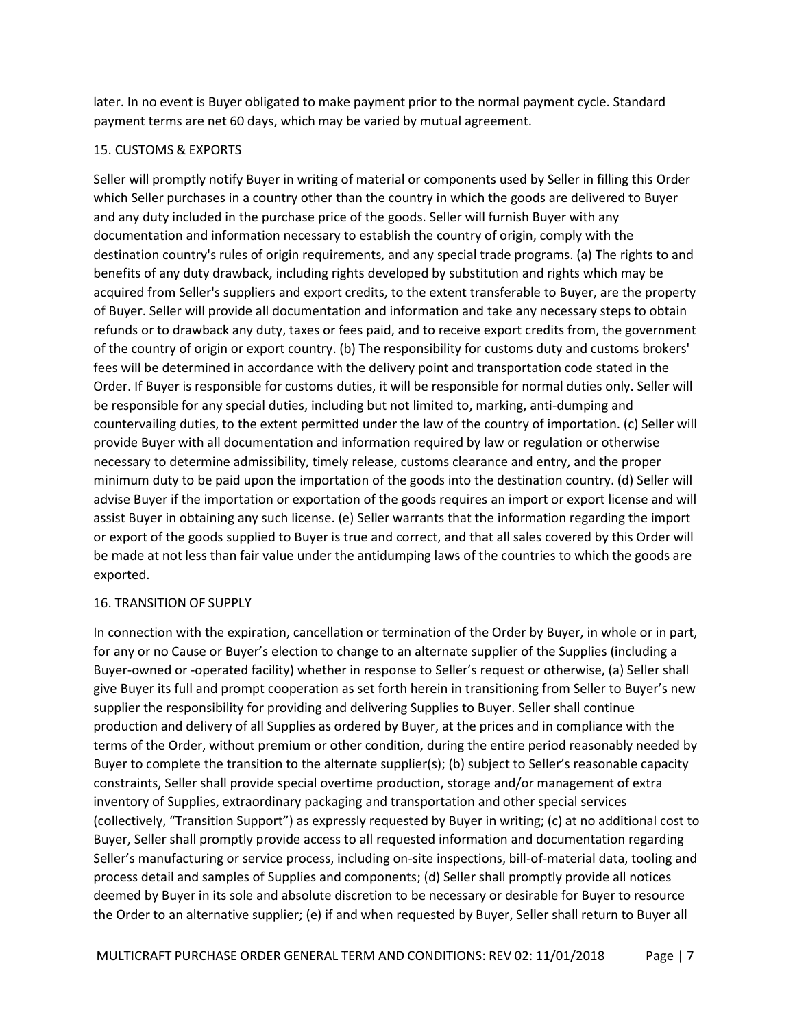later. In no event is Buyer obligated to make payment prior to the normal payment cycle. Standard payment terms are net 60 days, which may be varied by mutual agreement.

# <span id="page-6-0"></span>15. CUSTOMS & EXPORTS

Seller will promptly notify Buyer in writing of material or components used by Seller in filling this Order which Seller purchases in a country other than the country in which the goods are delivered to Buyer and any duty included in the purchase price of the goods. Seller will furnish Buyer with any documentation and information necessary to establish the country of origin, comply with the destination country's rules of origin requirements, and any special trade programs. (a) The rights to and benefits of any duty drawback, including rights developed by substitution and rights which may be acquired from Seller's suppliers and export credits, to the extent transferable to Buyer, are the property of Buyer. Seller will provide all documentation and information and take any necessary steps to obtain refunds or to drawback any duty, taxes or fees paid, and to receive export credits from, the government of the country of origin or export country. (b) The responsibility for customs duty and customs brokers' fees will be determined in accordance with the delivery point and transportation code stated in the Order. If Buyer is responsible for customs duties, it will be responsible for normal duties only. Seller will be responsible for any special duties, including but not limited to, marking, anti-dumping and countervailing duties, to the extent permitted under the law of the country of importation. (c) Seller will provide Buyer with all documentation and information required by law or regulation or otherwise necessary to determine admissibility, timely release, customs clearance and entry, and the proper minimum duty to be paid upon the importation of the goods into the destination country. (d) Seller will advise Buyer if the importation or exportation of the goods requires an import or export license and will assist Buyer in obtaining any such license. (e) Seller warrants that the information regarding the import or export of the goods supplied to Buyer is true and correct, and that all sales covered by this Order will be made at not less than fair value under the antidumping laws of the countries to which the goods are exported.

# <span id="page-6-1"></span>16. TRANSITION OF SUPPLY

In connection with the expiration, cancellation or termination of the Order by Buyer, in whole or in part, for any or no Cause or Buyer's election to change to an alternate supplier of the Supplies (including a Buyer-owned or -operated facility) whether in response to Seller's request or otherwise, (a) Seller shall give Buyer its full and prompt cooperation as set forth herein in transitioning from Seller to Buyer's new supplier the responsibility for providing and delivering Supplies to Buyer. Seller shall continue production and delivery of all Supplies as ordered by Buyer, at the prices and in compliance with the terms of the Order, without premium or other condition, during the entire period reasonably needed by Buyer to complete the transition to the alternate supplier(s); (b) subject to Seller's reasonable capacity constraints, Seller shall provide special overtime production, storage and/or management of extra inventory of Supplies, extraordinary packaging and transportation and other special services (collectively, "Transition Support") as expressly requested by Buyer in writing; (c) at no additional cost to Buyer, Seller shall promptly provide access to all requested information and documentation regarding Seller's manufacturing or service process, including on-site inspections, bill-of-material data, tooling and process detail and samples of Supplies and components; (d) Seller shall promptly provide all notices deemed by Buyer in its sole and absolute discretion to be necessary or desirable for Buyer to resource the Order to an alternative supplier; (e) if and when requested by Buyer, Seller shall return to Buyer all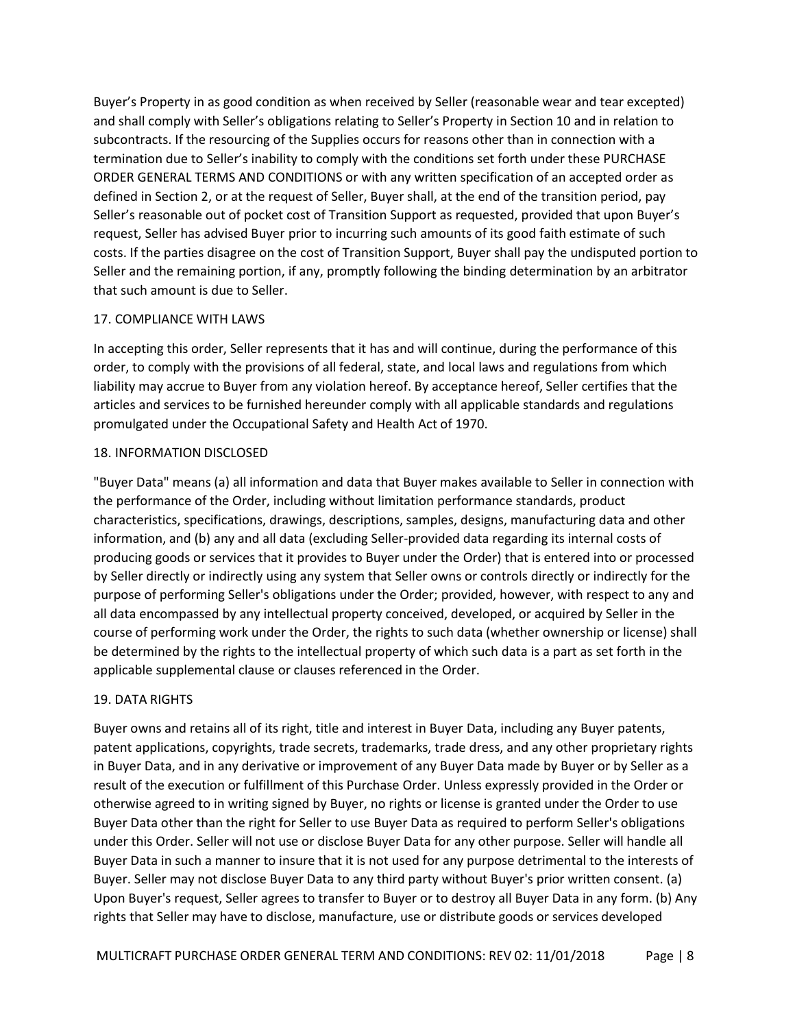Buyer's Property in as good condition as when received by Seller (reasonable wear and tear excepted) and shall comply with Seller's obligations relating to Seller's Property in Section 10 and in relation to subcontracts. If the resourcing of the Supplies occurs for reasons other than in connection with a termination due to Seller's inability to comply with the conditions set forth under these PURCHASE ORDER GENERAL TERMS AND CONDITIONS or with any written specification of an accepted order as defined in Section 2, or at the request of Seller, Buyer shall, at the end of the transition period, pay Seller's reasonable out of pocket cost of Transition Support as requested, provided that upon Buyer's request, Seller has advised Buyer prior to incurring such amounts of its good faith estimate of such costs. If the parties disagree on the cost of Transition Support, Buyer shall pay the undisputed portion to Seller and the remaining portion, if any, promptly following the binding determination by an arbitrator that such amount is due to Seller.

#### <span id="page-7-0"></span>17. COMPLIANCE WITH LAWS

In accepting this order, Seller represents that it has and will continue, during the performance of this order, to comply with the provisions of all federal, state, and local laws and regulations from which liability may accrue to Buyer from any violation hereof. By acceptance hereof, Seller certifies that the articles and services to be furnished hereunder comply with all applicable standards and regulations promulgated under the Occupational Safety and Health Act of 1970.

#### <span id="page-7-1"></span>18. INFORMATION DISCLOSED

"Buyer Data" means (a) all information and data that Buyer makes available to Seller in connection with the performance of the Order, including without limitation performance standards, product characteristics, specifications, drawings, descriptions, samples, designs, manufacturing data and other information, and (b) any and all data (excluding Seller-provided data regarding its internal costs of producing goods or services that it provides to Buyer under the Order) that is entered into or processed by Seller directly or indirectly using any system that Seller owns or controls directly or indirectly for the purpose of performing Seller's obligations under the Order; provided, however, with respect to any and all data encompassed by any intellectual property conceived, developed, or acquired by Seller in the course of performing work under the Order, the rights to such data (whether ownership or license) shall be determined by the rights to the intellectual property of which such data is a part as set forth in the applicable supplemental clause or clauses referenced in the Order.

# <span id="page-7-2"></span>19. DATA RIGHTS

Buyer owns and retains all of its right, title and interest in Buyer Data, including any Buyer patents, patent applications, copyrights, trade secrets, trademarks, trade dress, and any other proprietary rights in Buyer Data, and in any derivative or improvement of any Buyer Data made by Buyer or by Seller as a result of the execution or fulfillment of this Purchase Order. Unless expressly provided in the Order or otherwise agreed to in writing signed by Buyer, no rights or license is granted under the Order to use Buyer Data other than the right for Seller to use Buyer Data as required to perform Seller's obligations under this Order. Seller will not use or disclose Buyer Data for any other purpose. Seller will handle all Buyer Data in such a manner to insure that it is not used for any purpose detrimental to the interests of Buyer. Seller may not disclose Buyer Data to any third party without Buyer's prior written consent. (a) Upon Buyer's request, Seller agrees to transfer to Buyer or to destroy all Buyer Data in any form. (b) Any rights that Seller may have to disclose, manufacture, use or distribute goods or services developed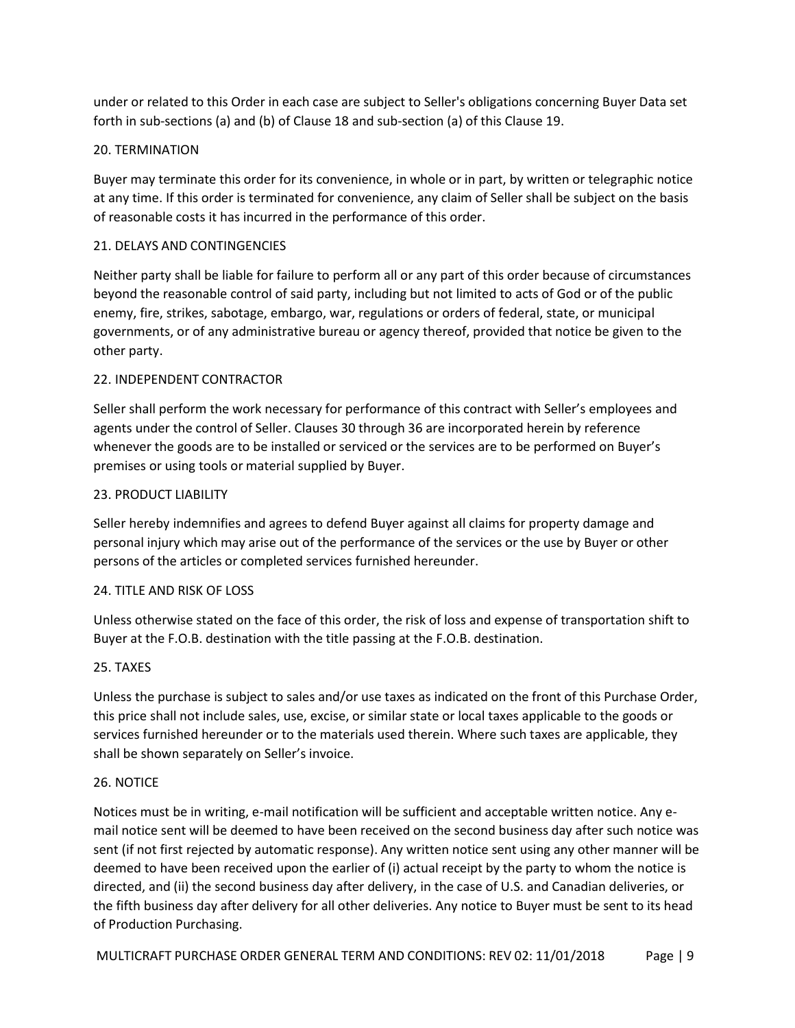under or related to this Order in each case are subject to Seller's obligations concerning Buyer Data set forth in sub-sections (a) and (b) of Clause 18 and sub-section (a) of this Clause 19.

# <span id="page-8-0"></span>20. TERMINATION

Buyer may terminate this order for its convenience, in whole or in part, by written or telegraphic notice at any time. If this order is terminated for convenience, any claim of Seller shall be subject on the basis of reasonable costs it has incurred in the performance of this order.

# <span id="page-8-1"></span>21. DELAYS AND CONTINGENCIES

Neither party shall be liable for failure to perform all or any part of this order because of circumstances beyond the reasonable control of said party, including but not limited to acts of God or of the public enemy, fire, strikes, sabotage, embargo, war, regulations or orders of federal, state, or municipal governments, or of any administrative bureau or agency thereof, provided that notice be given to the other party.

# <span id="page-8-2"></span>22. INDEPENDENT CONTRACTOR

Seller shall perform the work necessary for performance of this contract with Seller's employees and agents under the control of Seller. Clauses 30 through 36 are incorporated herein by reference whenever the goods are to be installed or serviced or the services are to be performed on Buyer's premises or using tools or material supplied by Buyer.

# <span id="page-8-3"></span>23. PRODUCT LIABILITY

Seller hereby indemnifies and agrees to defend Buyer against all claims for property damage and personal injury which may arise out of the performance of the services or the use by Buyer or other persons of the articles or completed services furnished hereunder.

# <span id="page-8-4"></span>24. TITLE AND RISK OF LOSS

Unless otherwise stated on the face of this order, the risk of loss and expense of transportation shift to Buyer at the F.O.B. destination with the title passing at the F.O.B. destination.

# <span id="page-8-5"></span>25. TAXES

Unless the purchase is subject to sales and/or use taxes as indicated on the front of this Purchase Order, this price shall not include sales, use, excise, or similar state or local taxes applicable to the goods or services furnished hereunder or to the materials used therein. Where such taxes are applicable, they shall be shown separately on Seller's invoice.

# <span id="page-8-6"></span>26. NOTICE

Notices must be in writing, e-mail notification will be sufficient and acceptable written notice. Any email notice sent will be deemed to have been received on the second business day after such notice was sent (if not first rejected by automatic response). Any written notice sent using any other manner will be deemed to have been received upon the earlier of (i) actual receipt by the party to whom the notice is directed, and (ii) the second business day after delivery, in the case of U.S. and Canadian deliveries, or the fifth business day after delivery for all other deliveries. Any notice to Buyer must be sent to its head of Production Purchasing.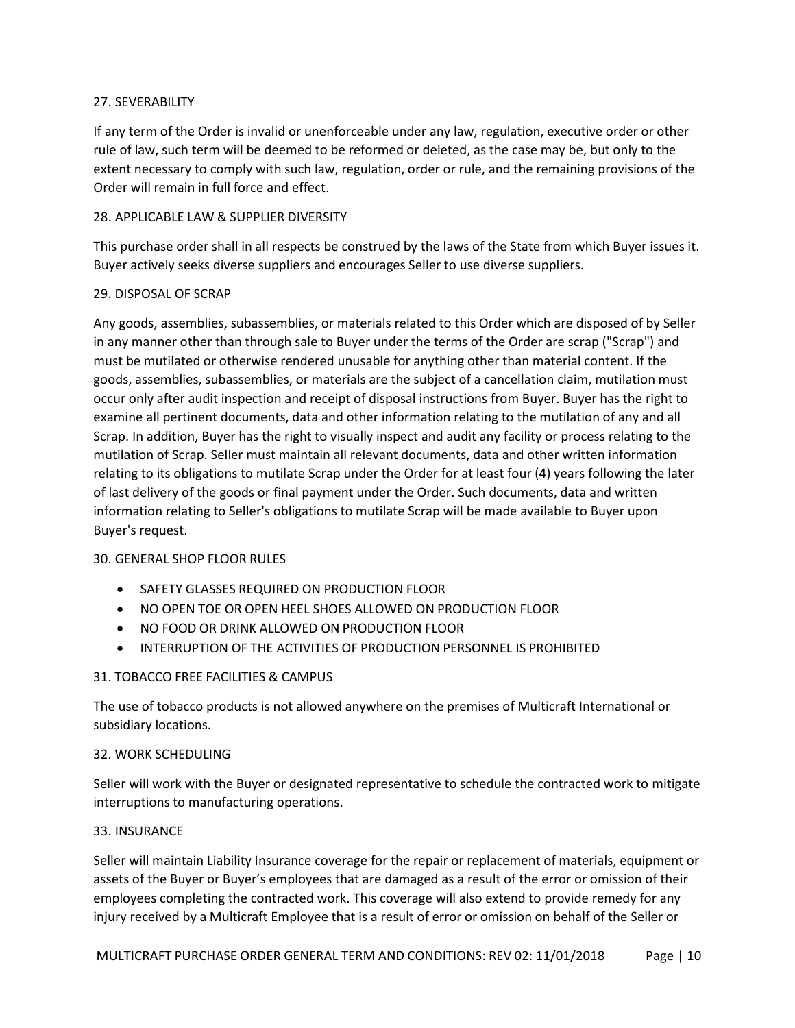# <span id="page-9-0"></span>27. SEVERABILITY

If any term of the Order is invalid or unenforceable under any law, regulation, executive order or other rule of law, such term will be deemed to be reformed or deleted, as the case may be, but only to the extent necessary to comply with such law, regulation, order or rule, and the remaining provisions of the Order will remain in full force and effect.

# <span id="page-9-1"></span>28. APPLICABLE LAW & SUPPLIER DIVERSITY

This purchase order shall in all respects be construed by the laws of the State from which Buyer issues it. Buyer actively seeks diverse suppliers and encourages Seller to use diverse suppliers.

#### <span id="page-9-2"></span>29. DISPOSAL OF SCRAP

Any goods, assemblies, subassemblies, or materials related to this Order which are disposed of by Seller in any manner other than through sale to Buyer under the terms of the Order are scrap ("Scrap") and must be mutilated or otherwise rendered unusable for anything other than material content. If the goods, assemblies, subassemblies, or materials are the subject of a cancellation claim, mutilation must occur only after audit inspection and receipt of disposal instructions from Buyer. Buyer has the right to examine all pertinent documents, data and other information relating to the mutilation of any and all Scrap. In addition, Buyer has the right to visually inspect and audit any facility or process relating to the mutilation of Scrap. Seller must maintain all relevant documents, data and other written information relating to its obligations to mutilate Scrap under the Order for at least four (4) years following the later of last delivery of the goods or final payment under the Order. Such documents, data and written information relating to Seller's obligations to mutilate Scrap will be made available to Buyer upon Buyer's request.

#### <span id="page-9-3"></span>30. GENERAL SHOP FLOOR RULES

- SAFETY GLASSES REQUIRED ON PRODUCTION FLOOR
- NO OPEN TOE OR OPEN HEEL SHOES ALLOWED ON PRODUCTION FLOOR
- NO FOOD OR DRINK ALLOWED ON PRODUCTION FLOOR
- INTERRUPTION OF THE ACTIVITIES OF PRODUCTION PERSONNEL IS PROHIBITED

# <span id="page-9-4"></span>31. TOBACCO FREE FACILITIES & CAMPUS

The use of tobacco products is not allowed anywhere on the premises of Multicraft International or subsidiary locations.

#### <span id="page-9-5"></span>32. WORK SCHEDULING

Seller will work with the Buyer or designated representative to schedule the contracted work to mitigate interruptions to manufacturing operations.

#### <span id="page-9-6"></span>33. INSURANCE

Seller will maintain Liability Insurance coverage for the repair or replacement of materials, equipment or assets of the Buyer or Buyer's employees that are damaged as a result of the error or omission of their employees completing the contracted work. This coverage will also extend to provide remedy for any injury received by a Multicraft Employee that is a result of error or omission on behalf of the Seller or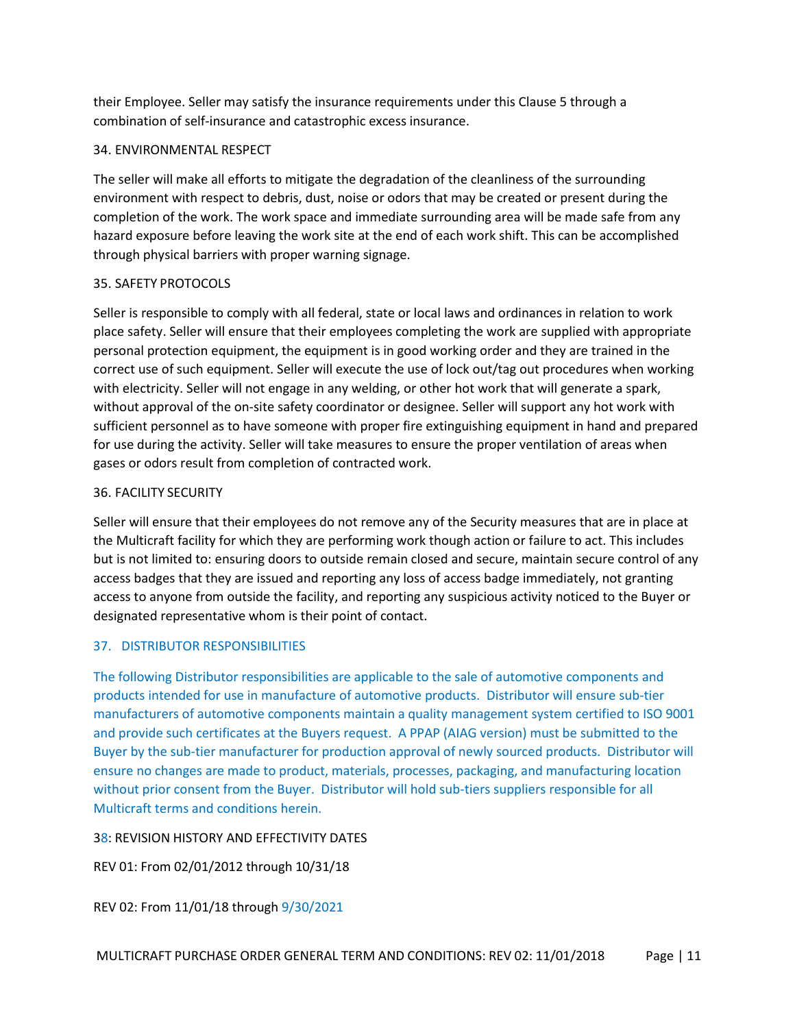their Employee. Seller may satisfy the insurance requirements under this Clause 5 through a combination of self-insurance and catastrophic excess insurance.

# <span id="page-10-0"></span>34. ENVIRONMENTAL RESPECT

The seller will make all efforts to mitigate the degradation of the cleanliness of the surrounding environment with respect to debris, dust, noise or odors that may be created or present during the completion of the work. The work space and immediate surrounding area will be made safe from any hazard exposure before leaving the work site at the end of each work shift. This can be accomplished through physical barriers with proper warning signage.

# <span id="page-10-1"></span>35. SAFETY PROTOCOLS

Seller is responsible to comply with all federal, state or local laws and ordinances in relation to work place safety. Seller will ensure that their employees completing the work are supplied with appropriate personal protection equipment, the equipment is in good working order and they are trained in the correct use of such equipment. Seller will execute the use of lock out/tag out procedures when working with electricity. Seller will not engage in any welding, or other hot work that will generate a spark, without approval of the on-site safety coordinator or designee. Seller will support any hot work with sufficient personnel as to have someone with proper fire extinguishing equipment in hand and prepared for use during the activity. Seller will take measures to ensure the proper ventilation of areas when gases or odors result from completion of contracted work.

# <span id="page-10-2"></span>36. FACILITY SECURITY

Seller will ensure that their employees do not remove any of the Security measures that are in place at the Multicraft facility for which they are performing work though action or failure to act. This includes but is not limited to: ensuring doors to outside remain closed and secure, maintain secure control of any access badges that they are issued and reporting any loss of access badge immediately, not granting access to anyone from outside the facility, and reporting any suspicious activity noticed to the Buyer or designated representative whom is their point of contact.

# 37. DISTRIBUTOR RESPONSIBILITIES

The following Distributor responsibilities are applicable to the sale of automotive components and products intended for use in manufacture of automotive products. Distributor will ensure sub-tier manufacturers of automotive components maintain a quality management system certified to ISO 9001 and provide such certificates at the Buyers request. A PPAP (AIAG version) must be submitted to the Buyer by the sub-tier manufacturer for production approval of newly sourced products. Distributor will ensure no changes are made to product, materials, processes, packaging, and manufacturing location without prior consent from the Buyer. Distributor will hold sub-tiers suppliers responsible for all Multicraft terms and conditions herein.

<span id="page-10-3"></span>38: REVISION HISTORY AND EFFECTIVITY DATES

REV 01: From 02/01/2012 through 10/31/18

REV 02: From 11/01/18 through 9/30/2021